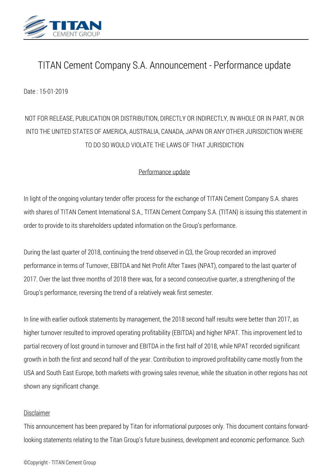

## *TITAN Cement Company S.A. Announcement - Performance update*

*Date : 15-01-2019*

## *NOT FOR RELEASE, PUBLICATION OR DISTRIBUTION, DIRECTLY OR INDIRECTLY, IN WHOLE OR IN PART, IN OR INTO THE UNITED STATES OF AMERICA, AUSTRALIA, CANADA, JAPAN OR ANY OTHER JURISDICTION WHERE TO DO SO WOULD VIOLATE THE LAWS OF THAT JURISDICTION*

## *Performance update*

*In light of the ongoing voluntary tender offer process for the exchange of TITAN Cement Company S.A. shares with shares of TITAN Cement International S.A., TITAN Cement Company S.A. (TITAN) is issuing this statement in order to provide to its shareholders updated information on the Group's performance.*

*During the last quarter of 2018, continuing the trend observed in Q3, the Group recorded an improved performance in terms of Turnover, EBITDA and Net Profit After Taxes (NPAT), compared to the last quarter of 2017. Over the last three months of 2018 there was, for a second consecutive quarter, a strengthening of the Group's performance, reversing the trend of a relatively weak first semester.*

*In line with earlier outlook statements by management, the 2018 second half results were better than 2017, as higher turnover resulted to improved operating profitability (EBITDA) and higher NPAT. This improvement led to partial recovery of lost ground in turnover and EBITDA in the first half of 2018, while NPAT recorded significant growth in both the first and second half of the year. Contribution to improved profitability came mostly from the USA and South East Europe, both markets with growing sales revenue, while the situation in other regions has not shown any significant change.*

## *Disclaimer*

*This announcement has been prepared by Titan for informational purposes only. This document contains forwardlooking statements relating to the Titan Group's future business, development and economic performance. Such*